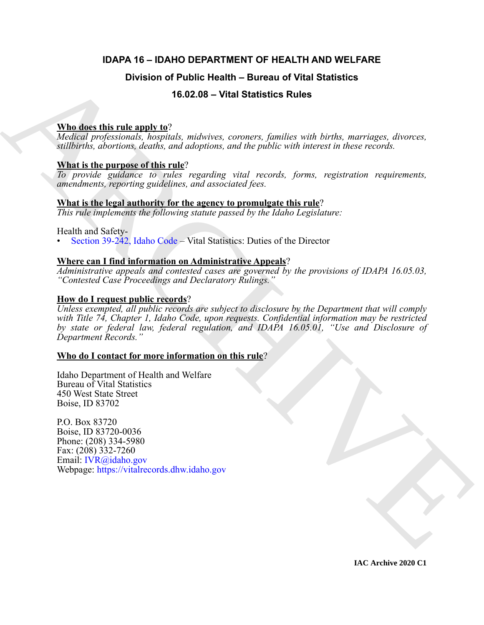# **IDAPA 16 – IDAHO DEPARTMENT OF HEALTH AND WELFARE**

# **Division of Public Health – Bureau of Vital Statistics**

# **16.02.08 – Vital Statistics Rules**

# **Who does this rule apply to**?

*Medical professionals, hospitals, midwives, coroners, families with births, marriages, divorces, stillbirths, abortions, deaths, and adoptions, and the public with interest in these records.*

# **What is the purpose of this rule**?

*To provide guidance to rules regarding vital records, forms, registration requirements, amendments, reporting guidelines, and associated fees.*

# **What is the legal authority for the agency to promulgate this rule**?

*This rule implements the following statute passed by the Idaho Legislature:*

# Health and Safety-

• Section 39-242, Idaho Code – Vital Statistics: Duties of the Director

# **Where can I find information on Administrative Appeals**?

*Administrative appeals and contested cases are governed by the provisions of IDAPA 16.05.03, "Contested Case Proceedings and Declaratory Rulings."*

# **How do I request public records**?

Division of Public Health – Bureau of Vital Statistics<br>
16.02.08 – Vital Statistics Rules<br>
When disc this rule angle  $\frac{1}{2}$ <br>
Under *index index materials*, and the material angle is a statistic and incident angle of an *Unless exempted, all public records are subject to disclosure by the Department that will comply with Title 74, Chapter 1, Idaho Code, upon requests. Confidential information may be restricted by state or federal law, federal regulation, and IDAPA 16.05.01, "Use and Disclosure of Department Records."*

# **Who do I contact for more information on this rule**?

Idaho Department of Health and Welfare Bureau of Vital Statistics 450 West State Street Boise, ID 83702

P.O. Box 83720 Boise, ID 83720-0036 Phone: (208) 334-5980 Fax: (208) 332-7260 Email: IVR@idaho.gov Webpage: https://vitalrecords.dhw.idaho.gov

**IAC Archive 2020 C1**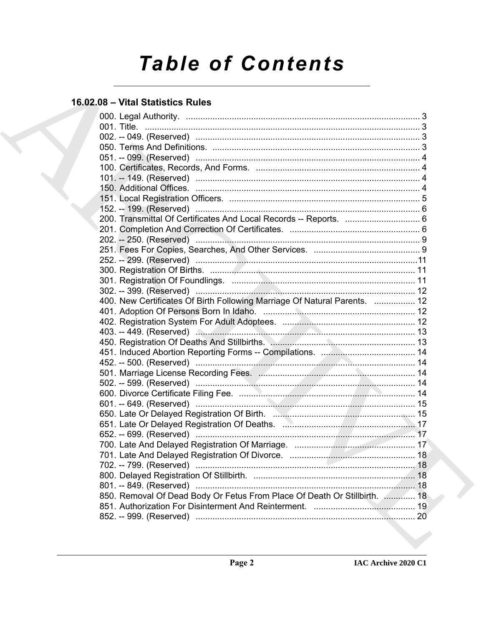# **Table of Contents**

# 16.02.08 - Vital Statistics Rules

|  | 200. Transmittal Of Certificates And Local Records -- Reports.  6         |  |
|--|---------------------------------------------------------------------------|--|
|  |                                                                           |  |
|  |                                                                           |  |
|  |                                                                           |  |
|  |                                                                           |  |
|  |                                                                           |  |
|  |                                                                           |  |
|  |                                                                           |  |
|  | 400. New Certificates Of Birth Following Marriage Of Natural Parents.  12 |  |
|  |                                                                           |  |
|  |                                                                           |  |
|  |                                                                           |  |
|  |                                                                           |  |
|  |                                                                           |  |
|  |                                                                           |  |
|  |                                                                           |  |
|  |                                                                           |  |
|  |                                                                           |  |
|  |                                                                           |  |
|  |                                                                           |  |
|  |                                                                           |  |
|  |                                                                           |  |
|  |                                                                           |  |
|  |                                                                           |  |
|  |                                                                           |  |
|  |                                                                           |  |
|  |                                                                           |  |
|  | 850. Removal Of Dead Body Or Fetus From Place Of Death Or Stillbirth.  18 |  |
|  |                                                                           |  |
|  |                                                                           |  |
|  |                                                                           |  |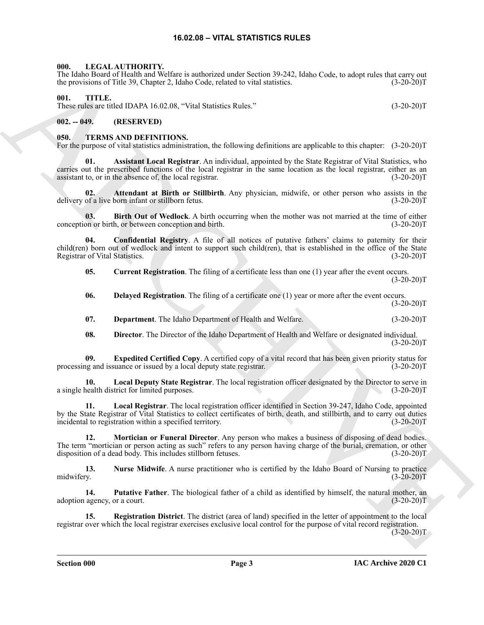# **16.02.08 – VITAL STATISTICS RULES**

# <span id="page-2-5"></span><span id="page-2-1"></span><span id="page-2-0"></span>**000. LEGAL AUTHORITY.**

The Idaho Board of Health and Welfare is authorized under Section 39-242, Idaho Code, to adopt rules that carry out the provisions of Title 39, Chapter 2, Idaho Code, related to vital statistics. (3-20-20)T

### <span id="page-2-22"></span><span id="page-2-2"></span>**001. TITLE.**

These rules are titled IDAPA 16.02.08, "Vital Statistics Rules." (3-20-20)T

# <span id="page-2-3"></span>**002. -- 049. (RESERVED)**

#### <span id="page-2-6"></span><span id="page-2-4"></span>**050. TERMS AND DEFINITIONS.**

<span id="page-2-7"></span>For the purpose of vital statistics administration, the following definitions are applicable to this chapter: (3-20-20)T

The loss behavior of the state is sensitive and SS (sensitive control and the state of the state of the state of the state of the state of the state of the state of the state of the state of the state of the state of the **01. Assistant Local Registrar**. An individual, appointed by the State Registrar of Vital Statistics, who carries out the prescribed functions of the local registrar in the same location as the local registrar, either as an assistant to, or in the absence of, the local registrar. (3-20-20)T

<span id="page-2-8"></span>**02. Attendant at Birth or Stillbirth**. Any physician, midwife, or other person who assists in the delivery of a live born infant or stillborn fetus. (3-20-20)T

<span id="page-2-9"></span>**03. Birth Out of Wedlock**. A birth occurring when the mother was not married at the time of either conception or birth, or between conception and birth. (3-20-20)T

**04. Confidential Registry**. A file of all notices of putative fathers' claims to paternity for their child(ren) born out of wedlock and intent to support such child(ren), that is established in the office of the State Registrar of Vital Statistics. (3-20-20)T

<span id="page-2-11"></span><span id="page-2-10"></span>**05.** Current Registration. The filing of a certificate less than one (1) year after the event occurs.  $(3-20-20)T$ 

- <span id="page-2-12"></span>**06.** Delayed Registration. The filing of a certificate one (1) year or more after the event occurs.  $(3-20-20)T$
- <span id="page-2-13"></span>**07. Department**. The Idaho Department of Health and Welfare. (3-20-20)T

<span id="page-2-16"></span><span id="page-2-15"></span><span id="page-2-14"></span>**08. Director**. The Director of the Idaho Department of Health and Welfare or designated individual.  $(3-20-20)T$ 

**09. Expedited Certified Copy**. A certified copy of a vital record that has been given priority status for processing and issuance or issued by a local deputy state registrar. (3-20-20)T

**10.** Local Deputy State Registrar. The local registration officer designated by the Director to serve in a single health district for limited purposes. (3-20-20)T

<span id="page-2-17"></span>**11. Local Registrar**. The local registration officer identified in Section 39-247, Idaho Code, appointed by the State Registrar of Vital Statistics to collect certificates of birth, death, and stillbirth, and to carry out duties incidental to registration within a specified territory. (3-20-20)T

<span id="page-2-18"></span>**12. Mortician or Funeral Director**. Any person who makes a business of disposing of dead bodies. The term "mortician or person acting as such" refers to any person having charge of the burial, cremation, or other disposition of a dead body. This includes stillborn fetuses. (3-20-20)T

<span id="page-2-19"></span>**13. 13.** Nurse Midwife. A nurse practitioner who is certified by the Idaho Board of Nursing to practice midwifery. (3-20-20) midwifery. (3-20-20)T

<span id="page-2-20"></span>**14.** Putative Father. The biological father of a child as identified by himself, the natural mother, an agency, or a court.  $(3-20-20)T$ adoption agency, or a court.

<span id="page-2-21"></span>**15. Registration District**. The district (area of land) specified in the letter of appointment to the local registrar over which the local registrar exercises exclusive local control for the purpose of vital record registration.

 $(3-20-20)T$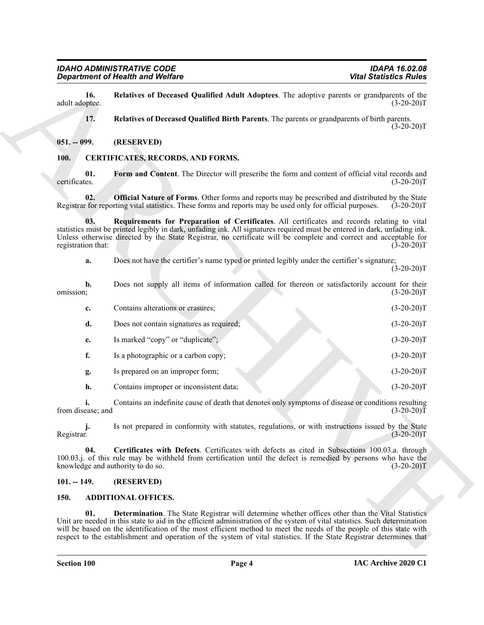#### <span id="page-3-12"></span><span id="page-3-11"></span><span id="page-3-0"></span>**051. -- 099. (RESERVED)**

#### <span id="page-3-10"></span><span id="page-3-9"></span><span id="page-3-8"></span><span id="page-3-6"></span><span id="page-3-1"></span>**100. CERTIFICATES, RECORDS, AND FORMS.**

|                                          | <b>Department of Health and Welfare</b>                                                                                                                                                                                                                                                                                                                                                                                                                                        | <b>Vital Statistics Rules</b> |
|------------------------------------------|--------------------------------------------------------------------------------------------------------------------------------------------------------------------------------------------------------------------------------------------------------------------------------------------------------------------------------------------------------------------------------------------------------------------------------------------------------------------------------|-------------------------------|
| 16.<br>adult adoptee.                    | Relatives of Deceased Qualified Adult Adoptees. The adoptive parents or grandparents of the                                                                                                                                                                                                                                                                                                                                                                                    | $(3-20-20)T$                  |
| 17.                                      | Relatives of Deceased Qualified Birth Parents. The parents or grandparents of birth parents.                                                                                                                                                                                                                                                                                                                                                                                   | $(3-20-20)T$                  |
| $051. - 099.$                            | (RESERVED)                                                                                                                                                                                                                                                                                                                                                                                                                                                                     |                               |
| <b>100.</b>                              | <b>CERTIFICATES, RECORDS, AND FORMS.</b>                                                                                                                                                                                                                                                                                                                                                                                                                                       |                               |
| 01.<br>certificates.                     | Form and Content. The Director will prescribe the form and content of official vital records and                                                                                                                                                                                                                                                                                                                                                                               | $(3-20-20)T$                  |
| 02.                                      | Official Nature of Forms. Other forms and reports may be prescribed and distributed by the State<br>Registrar for reporting vital statistics. These forms and reports may be used only for official purposes.                                                                                                                                                                                                                                                                  | $(3-20-20)T$                  |
| 03.<br>registration that:                | Requirements for Preparation of Certificates. All certificates and records relating to vital<br>statistics must be printed legibly in dark, unfading ink. All signatures required must be entered in dark, unfading ink.<br>Unless otherwise directed by the State Registrar, no certificate will be complete and correct and acceptable for                                                                                                                                   | $(3-20-20)T$                  |
| a.                                       | Does not have the certifier's name typed or printed legibly under the certifier's signature;                                                                                                                                                                                                                                                                                                                                                                                   | $(3-20-20)T$                  |
| $\mathbf{b}$ .<br>omission;              | Does not supply all items of information called for thereon or satisfactorily account for their                                                                                                                                                                                                                                                                                                                                                                                | $(3-20-20)T$                  |
| c.                                       | Contains alterations or erasures;                                                                                                                                                                                                                                                                                                                                                                                                                                              | $(3-20-20)T$                  |
| d.                                       | Does not contain signatures as required;                                                                                                                                                                                                                                                                                                                                                                                                                                       | $(3-20-20)T$                  |
| e.                                       | Is marked "copy" or "duplicate";                                                                                                                                                                                                                                                                                                                                                                                                                                               | $(3-20-20)T$                  |
| f.                                       | Is a photographic or a carbon copy;                                                                                                                                                                                                                                                                                                                                                                                                                                            | $(3-20-20)T$                  |
| g.                                       | Is prepared on an improper form;                                                                                                                                                                                                                                                                                                                                                                                                                                               | $(3-20-20)T$                  |
| h.                                       | Contains improper or inconsistent data;                                                                                                                                                                                                                                                                                                                                                                                                                                        | $(3-20-20)T$                  |
| from disease; and                        | Contains an indefinite cause of death that denotes only symptoms of disease or conditions resulting                                                                                                                                                                                                                                                                                                                                                                            | $(3-20-20)\bar{T}$            |
| Registrar.                               | Is not prepared in conformity with statutes, regulations, or with instructions issued by the State                                                                                                                                                                                                                                                                                                                                                                             | $(3-20-20)T$                  |
| 04.<br>knowledge and authority to do so. | Certificates with Defects. Certificates with defects as cited in Subsections 100.03.a. through<br>100.03.j. of this rule may be withheld from certification until the defect is remedied by persons who have the                                                                                                                                                                                                                                                               | $(3-20-20)T$                  |
| $101. - 149.$                            | (RESERVED)                                                                                                                                                                                                                                                                                                                                                                                                                                                                     |                               |
| 150.                                     | <b>ADDITIONAL OFFICES.</b>                                                                                                                                                                                                                                                                                                                                                                                                                                                     |                               |
| 01.                                      | Determination. The State Registrar will determine whether offices other than the Vital Statistics<br>Unit are needed in this state to aid in the efficient administration of the system of vital statistics. Such determination<br>will be based on the identification of the most efficient method to meet the needs of the people of this state with<br>respect to the establishment and operation of the system of vital statistics. If the State Registrar determines that |                               |

#### <span id="page-3-7"></span><span id="page-3-2"></span>**101. -- 149. (RESERVED)**

#### <span id="page-3-5"></span><span id="page-3-4"></span><span id="page-3-3"></span>**150. ADDITIONAL OFFICES.**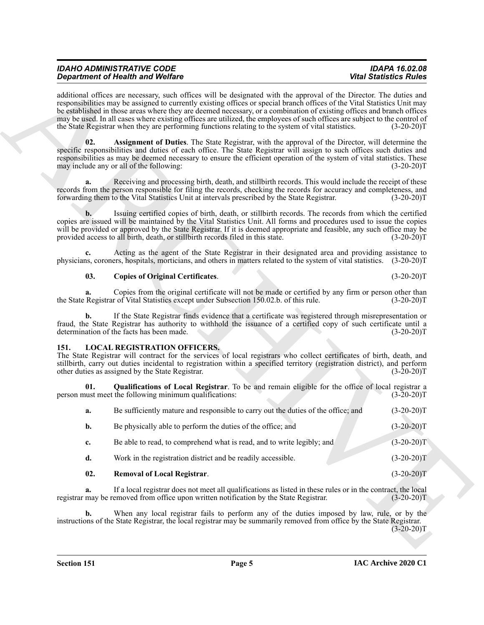#### <span id="page-4-2"></span>**03. Copies of Original Certificates**. (3-20-20)T

# <span id="page-4-5"></span><span id="page-4-4"></span><span id="page-4-3"></span><span id="page-4-0"></span>**LOCAL REGISTRATION OFFICERS.**

<span id="page-4-1"></span>

|      |                | <b>Department of Health and Welfare</b>                                                                                                                                                                                                                                                                                                                                                                                                                                                                                                                                                                        | <b>Vital Statistics Rules</b> |
|------|----------------|----------------------------------------------------------------------------------------------------------------------------------------------------------------------------------------------------------------------------------------------------------------------------------------------------------------------------------------------------------------------------------------------------------------------------------------------------------------------------------------------------------------------------------------------------------------------------------------------------------------|-------------------------------|
|      |                | additional offices are necessary, such offices will be designated with the approval of the Director. The duties and<br>responsibilities may be assigned to currently existing offices or special branch offices of the Vital Statistics Unit may<br>be established in those areas where they are deemed necessary, or a combination of existing offices and branch offices<br>may be used. In all cases where existing offices are utilized, the employees of such offices are subject to the control of<br>the State Registrar when they are performing functions relating to the system of vital statistics. | $(3-20-20)T$                  |
|      | 02.            | <b>Assignment of Duties</b> . The State Registrar, with the approval of the Director, will determine the<br>specific responsibilities and duties of each office. The State Registrar will assign to such offices such duties and<br>responsibilities as may be deemed necessary to ensure the efficient operation of the system of vital statistics. These<br>may include any or all of the following:                                                                                                                                                                                                         | $(3-20-20)T$                  |
|      | a.             | Receiving and processing birth, death, and stillbirth records. This would include the receipt of these<br>records from the person responsible for filing the records, checking the records for accuracy and completeness, and<br>forwarding them to the Vital Statistics Unit at intervals prescribed by the State Registrar.                                                                                                                                                                                                                                                                                  | $(3-20-20)T$                  |
|      |                | Issuing certified copies of birth, death, or stillbirth records. The records from which the certified<br>copies are issued will be maintained by the Vital Statistics Unit. All forms and procedures used to issue the copies<br>will be provided or approved by the State Registrar. If it is deemed appropriate and feasible, any such office may be<br>provided access to all birth, death, or stillbirth records filed in this state.                                                                                                                                                                      | $(3-20-20)T$                  |
|      | c.             | Acting as the agent of the State Registrar in their designated area and providing assistance to<br>physicians, coroners, hospitals, morticians, and others in matters related to the system of vital statistics. (3-20-20)T                                                                                                                                                                                                                                                                                                                                                                                    |                               |
|      | 03.            | <b>Copies of Original Certificates.</b>                                                                                                                                                                                                                                                                                                                                                                                                                                                                                                                                                                        | $(3-20-20)T$                  |
|      | a.             | Copies from the original certificate will not be made or certified by any firm or person other than<br>the State Registrar of Vital Statistics except under Subsection 150.02.b. of this rule.                                                                                                                                                                                                                                                                                                                                                                                                                 | $(3-20-20)T$                  |
|      | b.             | If the State Registrar finds evidence that a certificate was registered through misrepresentation or<br>fraud, the State Registrar has authority to withhold the issuance of a certified copy of such certificate until a<br>determination of the facts has been made.                                                                                                                                                                                                                                                                                                                                         | $(3-20-20)T$                  |
| 151. |                | <b>LOCAL REGISTRATION OFFICERS.</b><br>The State Registrar will contract for the services of local registrars who collect certificates of birth, death, and<br>stillbirth, carry out duties incidental to registration within a specified territory (registration district), and perform<br>other duties as assigned by the State Registrar.                                                                                                                                                                                                                                                                   | $(3-20-20)T$                  |
|      | 01.            | Qualifications of Local Registrar. To be and remain eligible for the office of local registrar a<br>person must meet the following minimum qualifications:                                                                                                                                                                                                                                                                                                                                                                                                                                                     | $(3-20-20)T$                  |
|      | a.             | Be sufficiently mature and responsible to carry out the duties of the office; and                                                                                                                                                                                                                                                                                                                                                                                                                                                                                                                              | $(3-20-20)T$                  |
|      | b.             | Be physically able to perform the duties of the office; and                                                                                                                                                                                                                                                                                                                                                                                                                                                                                                                                                    | $(3-20-20)T$                  |
|      | c.             | Be able to read, to comprehend what is read, and to write legibly; and                                                                                                                                                                                                                                                                                                                                                                                                                                                                                                                                         | $(3-20-20)T$                  |
|      | d.             | Work in the registration district and be readily accessible.                                                                                                                                                                                                                                                                                                                                                                                                                                                                                                                                                   | $(3-20-20)T$                  |
|      | 02.            | <b>Removal of Local Registrar.</b>                                                                                                                                                                                                                                                                                                                                                                                                                                                                                                                                                                             | $(3-20-20)T$                  |
|      | a.             | If a local registrar does not meet all qualifications as listed in these rules or in the contract, the local<br>registrar may be removed from office upon written notification by the State Registrar.                                                                                                                                                                                                                                                                                                                                                                                                         | $(3-20-20)T$                  |
|      | $\mathbf{b}$ . | When any local registrar fails to perform any of the duties imposed by law, rule, or by the<br>instructions of the State Registrar, the local registrar may be summarily removed from office by the State Registrar.                                                                                                                                                                                                                                                                                                                                                                                           | $(3-20-20)T$                  |
|      |                |                                                                                                                                                                                                                                                                                                                                                                                                                                                                                                                                                                                                                |                               |
|      |                |                                                                                                                                                                                                                                                                                                                                                                                                                                                                                                                                                                                                                |                               |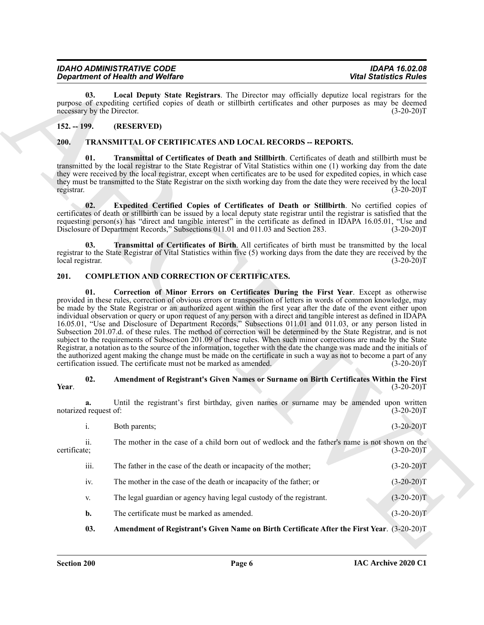<span id="page-5-7"></span>

| <b>IDAHO ADMINISTRATIVE CODE</b>        | IDAPA 16.02.08                |
|-----------------------------------------|-------------------------------|
| <b>Department of Health and Welfare</b> | <b>Vital Statistics Rules</b> |

# <span id="page-5-0"></span>**152. -- 199. (RESERVED)**

# <span id="page-5-11"></span><span id="page-5-9"></span><span id="page-5-8"></span><span id="page-5-1"></span>**200. TRANSMITTAL OF CERTIFICATES AND LOCAL RECORDS -- REPORTS.**

#### <span id="page-5-10"></span><span id="page-5-6"></span><span id="page-5-3"></span><span id="page-5-2"></span>**201. COMPLETION AND CORRECTION OF CERTIFICATES.**

#### <span id="page-5-5"></span><span id="page-5-4"></span>**02. Amendment of Registrant's Given Names or Surname on Birth Certificates Within the First Year**. (3-20-20)T

|                                   | <b>Department of Health and Welfare</b>                                                                                                                                                                                                                                                                                                                                                                                                                                                                                                                                                                                                                                                                                                                                                                                                                                                                                                                                                                                                                      | <b>Vital Statistics Rules</b> |
|-----------------------------------|--------------------------------------------------------------------------------------------------------------------------------------------------------------------------------------------------------------------------------------------------------------------------------------------------------------------------------------------------------------------------------------------------------------------------------------------------------------------------------------------------------------------------------------------------------------------------------------------------------------------------------------------------------------------------------------------------------------------------------------------------------------------------------------------------------------------------------------------------------------------------------------------------------------------------------------------------------------------------------------------------------------------------------------------------------------|-------------------------------|
| 03.<br>necessary by the Director. | Local Deputy State Registrars. The Director may officially deputize local registrars for the<br>purpose of expediting certified copies of death or stillbirth certificates and other purposes as may be deemed                                                                                                                                                                                                                                                                                                                                                                                                                                                                                                                                                                                                                                                                                                                                                                                                                                               | $(3-20-20)T$                  |
| $152. - 199.$                     | (RESERVED)                                                                                                                                                                                                                                                                                                                                                                                                                                                                                                                                                                                                                                                                                                                                                                                                                                                                                                                                                                                                                                                   |                               |
| <b>200.</b>                       | <b>TRANSMITTAL OF CERTIFICATES AND LOCAL RECORDS -- REPORTS.</b>                                                                                                                                                                                                                                                                                                                                                                                                                                                                                                                                                                                                                                                                                                                                                                                                                                                                                                                                                                                             |                               |
| 01.<br>registrar.                 | Transmittal of Certificates of Death and Stillbirth. Certificates of death and stillbirth must be<br>transmitted by the local registrar to the State Registrar of Vital Statistics within one (1) working day from the date<br>they were received by the local registrar, except when certificates are to be used for expedited copies, in which case<br>they must be transmitted to the State Registrar on the sixth working day from the date they were received by the local                                                                                                                                                                                                                                                                                                                                                                                                                                                                                                                                                                              | $(3-20-20)T$                  |
| 02.                               | Expedited Certified Copies of Certificates of Death or Stillbirth. No certified copies of<br>certificates of death or stillbirth can be issued by a local deputy state registrar until the registrar is satisfied that the<br>requesting person(s) has "direct and tangible interest" in the certificate as defined in IDAPA 16.05.01, "Use and<br>Disclosure of Department Records," Subsections 011.01 and 011.03 and Section 283.                                                                                                                                                                                                                                                                                                                                                                                                                                                                                                                                                                                                                         | $(3-20-20)T$                  |
| 03.<br>local registrar.           | Transmittal of Certificates of Birth. All certificates of birth must be transmitted by the local<br>registrar to the State Registrar of Vital Statistics within five (5) working days from the date they are received by the                                                                                                                                                                                                                                                                                                                                                                                                                                                                                                                                                                                                                                                                                                                                                                                                                                 | $(3-20-20)T$                  |
| 201.                              | <b>COMPLETION AND CORRECTION OF CERTIFICATES.</b>                                                                                                                                                                                                                                                                                                                                                                                                                                                                                                                                                                                                                                                                                                                                                                                                                                                                                                                                                                                                            |                               |
|                                   | provided in these rules, correction of obvious errors or transposition of letters in words of common knowledge, may<br>be made by the State Registrar or an authorized agent within the first year after the date of the event either upon<br>individual observation or query or upon request of any person with a direct and tangible interest as defined in IDAPA<br>16.05.01, "Use and Disclosure of Department Records," Subsections 011.01 and 011.03, or any person listed in<br>Subsection 201.07.d. of these rules. The method of correction will be determined by the State Registrar, and is not<br>subject to the requirements of Subsection 201.09 of these rules. When such minor corrections are made by the State<br>Registrar, a notation as to the source of the information, together with the date the change was made and the initials of<br>the authorized agent making the change must be made on the certificate in such a way as not to become a part of any<br>certification issued. The certificate must not be marked as amended. | $(3-20-20)T$                  |
| 02.<br>Year.                      | Amendment of Registrant's Given Names or Surname on Birth Certificates Within the First                                                                                                                                                                                                                                                                                                                                                                                                                                                                                                                                                                                                                                                                                                                                                                                                                                                                                                                                                                      | $(3-20-20)T$                  |
| a.<br>notarized request of:       | Until the registrant's first birthday, given names or surname may be amended upon written                                                                                                                                                                                                                                                                                                                                                                                                                                                                                                                                                                                                                                                                                                                                                                                                                                                                                                                                                                    | $(3-20-20)T$                  |
| i.                                | Both parents;                                                                                                                                                                                                                                                                                                                                                                                                                                                                                                                                                                                                                                                                                                                                                                                                                                                                                                                                                                                                                                                | $(3-20-20)T$                  |
| ii.<br>certificate;               | The mother in the case of a child born out of wedlock and the father's name is not shown on the                                                                                                                                                                                                                                                                                                                                                                                                                                                                                                                                                                                                                                                                                                                                                                                                                                                                                                                                                              | $(3-20-20)T$                  |
| iii.                              | The father in the case of the death or incapacity of the mother;                                                                                                                                                                                                                                                                                                                                                                                                                                                                                                                                                                                                                                                                                                                                                                                                                                                                                                                                                                                             | $(3-20-20)T$                  |
|                                   | The mother in the case of the death or incapacity of the father; or                                                                                                                                                                                                                                                                                                                                                                                                                                                                                                                                                                                                                                                                                                                                                                                                                                                                                                                                                                                          | $(3-20-20)T$                  |
| iv.                               |                                                                                                                                                                                                                                                                                                                                                                                                                                                                                                                                                                                                                                                                                                                                                                                                                                                                                                                                                                                                                                                              |                               |
| V.                                | The legal guardian or agency having legal custody of the registrant.                                                                                                                                                                                                                                                                                                                                                                                                                                                                                                                                                                                                                                                                                                                                                                                                                                                                                                                                                                                         | $(3-20-20)T$                  |
| b.                                | The certificate must be marked as amended.                                                                                                                                                                                                                                                                                                                                                                                                                                                                                                                                                                                                                                                                                                                                                                                                                                                                                                                                                                                                                   | $(3-20-20)T$                  |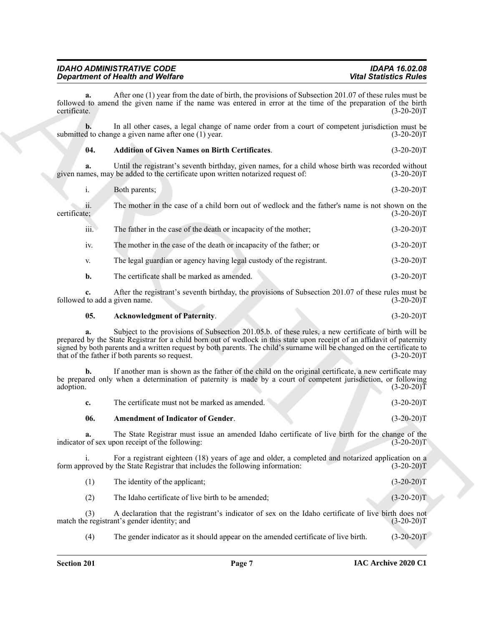| <b>IDAHO ADMINISTRATIVE CODE</b>        | <b>IDAPA 16.02.08</b>         |
|-----------------------------------------|-------------------------------|
| <b>Department of Health and Welfare</b> | <b>Vital Statistics Rules</b> |

**a.** After one (1) year from the date of birth, the provisions of Subsection 201.07 of these rules must be followed to amend the given name if the name was entered in error at the time of the preparation of the birth certificate. (3-20-20)T

**b.** In all other cases, a legal change of name order from a court of competent jurisdiction must be submitted to change a given name after one (1) year. (3-20-20)T

# <span id="page-6-1"></span>**04. Addition of Given Names on Birth Certificates**. (3-20-20)T

**a.** Until the registrant's seventh birthday, given names, for a child whose birth was recorded without mes, may be added to the certificate upon written notarized request of: (3-20-20) given names, may be added to the certificate upon written notarized request of:

| Both parents; | $(3-20-20)T$ |
|---------------|--------------|
|               |              |

ii. The mother in the case of a child born out of wedlock and the father's name is not shown on the certificate; (3-20-20)T

| iii. |  | The father in the case of the death or incapacity of the mother; | $(3-20-20)T$ |
|------|--|------------------------------------------------------------------|--------------|
|      |  |                                                                  |              |

iv. The mother in the case of the death or incapacity of the father; or (3-20-20)T

v. The legal guardian or agency having legal custody of the registrant. (3-20-20)T

**b.** The certificate shall be marked as amended. (3-20-20)T

**c.** After the registrant's seventh birthday, the provisions of Subsection 201.07 of these rules must be followed to add a given name. (3-20-20)T

#### <span id="page-6-0"></span>**05. Acknowledgment of Paternity**. (3-20-20)T

Given the risk of Web Reservoire and the the presentation of Scheme 2018. We also that is a most of the second technique of the risk of the second technique of the second technique of the second technique of the second te **a.** Subject to the provisions of Subsection 201.05.b. of these rules, a new certificate of birth will be prepared by the State Registrar for a child born out of wedlock in this state upon receipt of an affidavit of paternity signed by both parents and a written request by both parents. The child's surname will be changed on the certificate to that of the father if both parents so request. (3-20-20)T

**b.** If another man is shown as the father of the child on the original certificate, a new certificate may be prepared only when a determination of paternity is made by a court of competent jurisdiction, or following adoption.  $(3-20-20)T$ 

<span id="page-6-2"></span>

|      | The certificate must not be marked as amended. | $(3-20-20)T$ |
|------|------------------------------------------------|--------------|
| -06. | <b>Amendment of Indicator of Gender.</b>       | $(3-20-20)T$ |

**a.** The State Registrar must issue an amended Idaho certificate of live birth for the change of the of sex upon receipt of the following:  $(3-20-20)$ indicator of sex upon receipt of the following:

i. For a registrant eighteen (18) years of age and older, a completed and notarized application on a form approved by the State Registrar that includes the following information: (3-20-20)T

(1) The identity of the applicant; (3-20-20)T

(2) The Idaho certificate of live birth to be amended; (3-20-20)T

(3) A declaration that the registrant's indicator of sex on the Idaho certificate of live birth does not match the registrant's gender identity; and

(4) The gender indicator as it should appear on the amended certificate of live birth. (3-20-20)T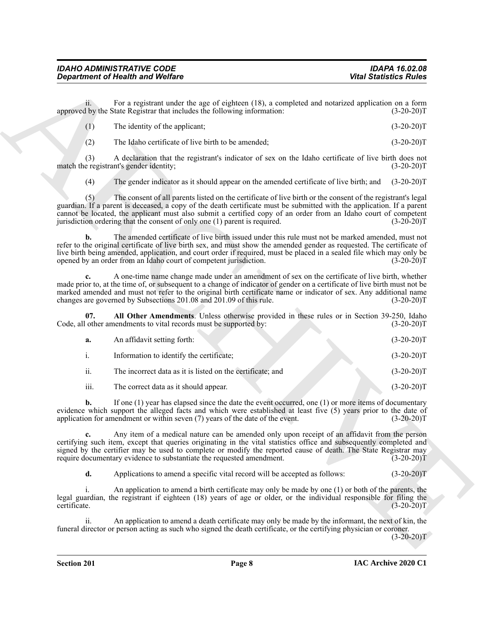<span id="page-7-0"></span>

|  | The identity of the applicant; | $(3-20-20)T$ |
|--|--------------------------------|--------------|
|--|--------------------------------|--------------|

|                                | <b>Department of Health and Welfare</b>                                                                                                                                                                                                                                                                                                                                                                                                | <b>Vital Statistics Rules</b> |
|--------------------------------|----------------------------------------------------------------------------------------------------------------------------------------------------------------------------------------------------------------------------------------------------------------------------------------------------------------------------------------------------------------------------------------------------------------------------------------|-------------------------------|
| ii.                            | For a registrant under the age of eighteen (18), a completed and notarized application on a form<br>approved by the State Registrar that includes the following information:                                                                                                                                                                                                                                                           | $(3-20-20)T$                  |
| (1)                            | The identity of the applicant;                                                                                                                                                                                                                                                                                                                                                                                                         | $(3-20-20)T$                  |
| (2)                            | The Idaho certificate of live birth to be amended;                                                                                                                                                                                                                                                                                                                                                                                     | $(3-20-20)T$                  |
| (3)                            | A declaration that the registrant's indicator of sex on the Idaho certificate of live birth does not<br>match the registrant's gender identity;                                                                                                                                                                                                                                                                                        | $(3-20-20)T$                  |
| (4)                            | The gender indicator as it should appear on the amended certificate of live birth; and                                                                                                                                                                                                                                                                                                                                                 | $(3-20-20)T$                  |
| (5)                            | The consent of all parents listed on the certificate of live birth or the consent of the registrant's legal<br>guardian. If a parent is deceased, a copy of the death certificate must be submitted with the application. If a parent<br>cannot be located, the applicant must also submit a certified copy of an order from an Idaho court of competent<br>jurisdiction ordering that the consent of only one (1) parent is required. | $(3-20-20)T$                  |
| b.                             | The amended certificate of live birth issued under this rule must not be marked amended, must not<br>refer to the original certificate of live birth sex, and must show the amended gender as requested. The certificate of<br>live birth being amended, application, and court order if required, must be placed in a sealed file which may only be<br>opened by an order from an Idaho court of competent jurisdiction.              | $(3-20-20)T$                  |
|                                | A one-time name change made under an amendment of sex on the certificate of live birth, whether<br>made prior to, at the time of, or subsequent to a change of indicator of gender on a certificate of live birth must not be<br>marked amended and must not refer to the original birth certificate name or indicator of sex. Any additional name<br>changes are governed by Subsections 201.08 and 201.09 of this rule.              | $(3-20-20)T$                  |
| 07.                            | All Other Amendments. Unless otherwise provided in these rules or in Section 39-250, Idaho<br>Code, all other amendments to vital records must be supported by:                                                                                                                                                                                                                                                                        | $(3-20-20)T$                  |
| a.                             | An affidavit setting forth:                                                                                                                                                                                                                                                                                                                                                                                                            | $(3-20-20)T$                  |
| $\mathbf{i}$ .                 | Information to identify the certificate;                                                                                                                                                                                                                                                                                                                                                                                               | $(3-20-20)T$                  |
| ii.                            | The incorrect data as it is listed on the certificate; and                                                                                                                                                                                                                                                                                                                                                                             | $(3-20-20)T$                  |
| iii.                           | The correct data as it should appear.                                                                                                                                                                                                                                                                                                                                                                                                  | $(3-20-20)T$                  |
| b.                             | If one $(1)$ year has elapsed since the date the event occurred, one $(1)$ or more items of documentary<br>evidence which support the alleged facts and which were established at least five (5) years prior to the date of<br>application for amendment or within seven $(7)$ years of the date of the event.                                                                                                                         | $(3-20-20)T$                  |
| $c_{\bullet}$                  | Any item of a medical nature can be amended only upon receipt of an affidavit from the person<br>certifying such item, except that queries originating in the vital statistics office and subsequently completed and<br>signed by the certifier may be used to complete or modify the reported cause of death. The State Registrar may<br>require documentary evidence to substantiate the requested amendment.                        | $(3-20-20)T$                  |
| d.                             | Applications to amend a specific vital record will be accepted as follows:                                                                                                                                                                                                                                                                                                                                                             | $(3-20-20)T$                  |
| $\mathbf{1}$ .<br>certificate. | An application to amend a birth certificate may only be made by one (1) or both of the parents, the<br>legal guardian, the registrant if eighteen (18) years of age or older, or the individual responsible for filing the                                                                                                                                                                                                             | $(3-20-20)T$                  |
| ii.                            | An application to amend a death certificate may only be made by the informant, the next of kin, the<br>funeral director or person acting as such who signed the death certificate, or the certifying physician or coroner.                                                                                                                                                                                                             |                               |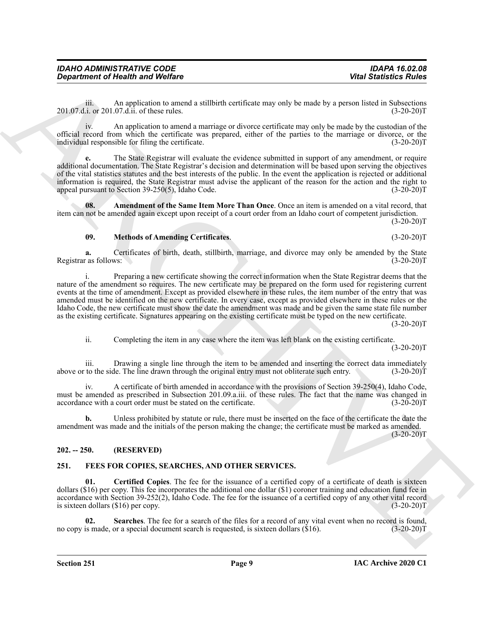iii. An application to amend a stillbirth certificate may only be made by a person listed in Subsections 201.07.d.i. or 201.07.d.ii. of these rules. (3-20-20)T

iv. An application to amend a marriage or divorce certificate may only be made by the custodian of the official record from which the certificate was prepared, either of the parties to the marriage or divorce, or the individual responsible for filing the certificate. (3-20-20) individual responsible for filing the certificate.

**e.** The State Registrar will evaluate the evidence submitted in support of any amendment, or require additional documentation. The State Registrar's decision and determination will be based upon serving the objectives of the vital statistics statutes and the best interests of the public. In the event the application is rejected or additional information is required, the State Registrar must advise the applicant of the reason for the action and the right to appeal pursuant to Section 39-250(5), Idaho Code.  $(3-20-20)$ appeal pursuant to Section  $39-250(5)$ , Idaho Code.

**08. Amendment of the Same Item More Than Once**. Once an item is amended on a vital record, that item can not be amended again except upon receipt of a court order from an Idaho court of competent jurisdiction.  $(3-20-20)T$ 

#### <span id="page-8-3"></span><span id="page-8-2"></span>**09. Methods of Amending Certificates**. (3-20-20)T

**a.** Certificates of birth, death, stillbirth, marriage, and divorce may only be amended by the State r as follows: (3-20-20) Registrar as follows:

*Great friends the Wolfrey*<br> **Straight Straight Straight Straight Straight Straight Straight Straight Straight Straight Straight Straight Straight Straight Straight Straight Straight Straight Straight Straight Straight** Preparing a new certificate showing the correct information when the State Registrar deems that the nature of the amendment so requires. The new certificate may be prepared on the form used for registering current events at the time of amendment. Except as provided elsewhere in these rules, the item number of the entry that was amended must be identified on the new certificate. In every case, except as provided elsewhere in these rules or the Idaho Code, the new certificate must show the date the amendment was made and be given the same state file number as the existing certificate. Signatures appearing on the existing certificate must be typed on the new certificate.

 $(3-20-20)T$ 

ii. Completing the item in any case where the item was left blank on the existing certificate.

 $(3-20-20)T$ 

iii. Drawing a single line through the item to be amended and inserting the correct data immediately above or to the side. The line drawn through the original entry must not obliterate such entry. (3-20-20)T

iv. A certificate of birth amended in accordance with the provisions of Section 39-250(4), Idaho Code, must be amended as prescribed in Subsection 201.09.a.iii. of these rules. The fact that the name was changed in accordance with a court order must be stated on the certificate. (3-20-20) accordance with a court order must be stated on the certificate.

**b.** Unless prohibited by statute or rule, there must be inserted on the face of the certificate the date the amendment was made and the initials of the person making the change; the certificate must be marked as amended.

 $(3-20-20)T$ 

#### <span id="page-8-0"></span>**202. -- 250. (RESERVED)**

#### <span id="page-8-4"></span><span id="page-8-1"></span>**251. FEES FOR COPIES, SEARCHES, AND OTHER SERVICES.**

<span id="page-8-5"></span>**01. Certified Copies**. The fee for the issuance of a certified copy of a certificate of death is sixteen dollars (\$16) per copy. This fee incorporates the additional one dollar (\$1) coroner training and education fund fee in accordance with Section 39-252(2), Idaho Code. The fee for the issuance of a certified copy of any other vital record is sixteen dollars  $(\$16)$  per copy. (3-20-20)T

<span id="page-8-6"></span>**02.** Searches. The fee for a search of the files for a record of any vital event when no record is found, is made, or a special document search is requested, is sixteen dollars (\$16). (3-20-20) no copy is made, or a special document search is requested, is sixteen dollars  $(\$16)$ .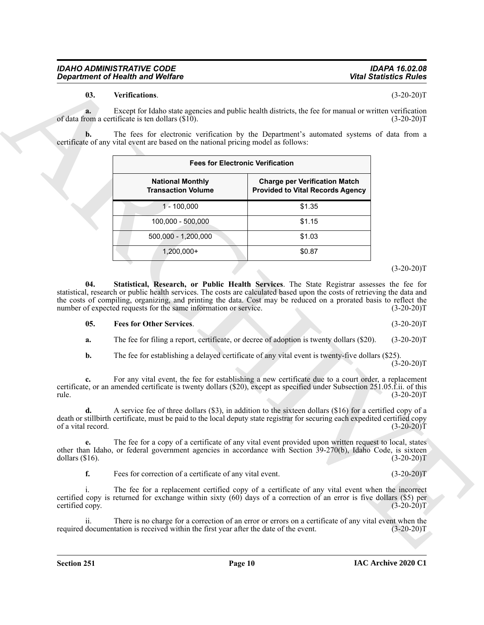<span id="page-9-2"></span>

|                                   | <b>Department of Health and Welfare</b>                                                                                      |                                                                                                                   | <b>Vital Statistics Rules</b>                |
|-----------------------------------|------------------------------------------------------------------------------------------------------------------------------|-------------------------------------------------------------------------------------------------------------------|----------------------------------------------|
| 03.                               | Verifications.                                                                                                               |                                                                                                                   | $(3-20-20)T$                                 |
| a.                                | of data from a certificate is ten dollars (\$10).                                                                            | Except for Idaho state agencies and public health districts, the fee for manual or written verification           | $(3-20-20)T$                                 |
|                                   | certificate of any vital event are based on the national pricing model as follows:                                           | The fees for electronic verification by the Department's automated systems of data from a                         |                                              |
|                                   |                                                                                                                              | <b>Fees for Electronic Verification</b>                                                                           |                                              |
|                                   | <b>National Monthly</b><br><b>Transaction Volume</b>                                                                         | <b>Charge per Verification Match</b><br><b>Provided to Vital Records Agency</b>                                   |                                              |
|                                   | $1 - 100,000$                                                                                                                | \$1.35                                                                                                            |                                              |
|                                   | 100,000 - 500,000                                                                                                            | \$1.15                                                                                                            |                                              |
|                                   | 500,000 - 1,200,000                                                                                                          | \$1.03                                                                                                            |                                              |
|                                   | 1,200,000+                                                                                                                   | \$0.87                                                                                                            |                                              |
|                                   |                                                                                                                              |                                                                                                                   | $(3-20-20)T$                                 |
|                                   | number of expected requests for the same information or service.                                                             | the costs of compiling, organizing, and printing the data. Cost may be reduced on a prorated basis to reflect the |                                              |
| 05.<br>a.                         | <b>Fees for Other Services.</b>                                                                                              | The fee for filing a report, certificate, or decree of adoption is twenty dollars (\$20).                         | $(3-20-20)T$<br>$(3-20-20)T$<br>$(3-20-20)T$ |
| b.                                |                                                                                                                              | The fee for establishing a delayed certificate of any vital event is twenty-five dollars (\$25).                  | $(3-20-20)T$                                 |
| c.                                | certificate, or an amended certificate is twenty dollars (\$20), except as specified under Subsection 251.05.f.ii. of this   | For any vital event, the fee for establishing a new certificate due to a court order, a replacement               | $(3-20-20)T$                                 |
| rule.<br>d.<br>of a vital record. | death or stillbirth certificate, must be paid to the local deputy state registrar for securing each expedited certified copy | A service fee of three dollars (\$3), in addition to the sixteen dollars (\$16) for a certified copy of a         | $(3-20-20)T$                                 |
| e.<br>dollars $(\$16)$ .          | other than Idaho, or federal government agencies in accordance with Section $39-270(b)$ , Idaho Code, is sixteen             | The fee for a copy of a certificate of any vital event provided upon written request to local, states             | $(3-20-20)T$                                 |
| f.                                | Fees for correction of a certificate of any vital event.                                                                     |                                                                                                                   |                                              |
| $\mathbf{i}$ .<br>certified copy. | certified copy is returned for exchange within sixty $(60)$ days of a correction of an error is five dollars $(55)$ per      | The fee for a replacement certified copy of a certificate of any vital event when the incorrect                   | $(3-20-20)T$<br>$(3-20-20)T$                 |
| ii.                               | required documentation is received within the first year after the date of the event.                                        | There is no charge for a correction of an error or errors on a certificate of any vital event when the            | $(3-20-20)T$                                 |

#### $(3-20-20)T$

#### <span id="page-9-1"></span><span id="page-9-0"></span>**05. Fees for Other Services**. (3-20-20)T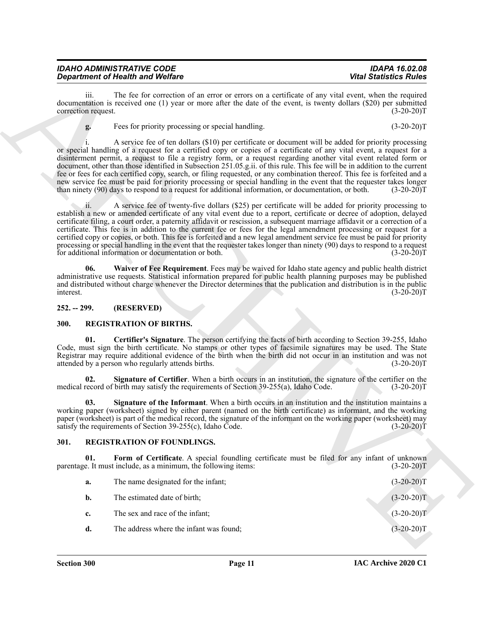| <b>IDAHO ADMINISTRATIVE CODE</b>        | <b>IDAPA 16.02.08</b>         |
|-----------------------------------------|-------------------------------|
| <b>Department of Health and Welfare</b> | <b>Vital Statistics Rules</b> |

# <span id="page-10-6"></span><span id="page-10-5"></span><span id="page-10-4"></span><span id="page-10-3"></span><span id="page-10-1"></span><span id="page-10-0"></span>**300. REGISTRATION OF BIRTHS.**

# <span id="page-10-9"></span><span id="page-10-8"></span><span id="page-10-7"></span><span id="page-10-2"></span>**301. REGISTRATION OF FOUNDLINGS.**

|                             | <b>Department of Health and Welfare</b>                                                                                                                                                                                                                                                                                                                                                                                                                                                                                                                                                                                                                                                                                                                                                                                                         | <b>Vital Statistics Rules</b> |
|-----------------------------|-------------------------------------------------------------------------------------------------------------------------------------------------------------------------------------------------------------------------------------------------------------------------------------------------------------------------------------------------------------------------------------------------------------------------------------------------------------------------------------------------------------------------------------------------------------------------------------------------------------------------------------------------------------------------------------------------------------------------------------------------------------------------------------------------------------------------------------------------|-------------------------------|
| iii.<br>correction request. | The fee for correction of an error or errors on a certificate of any vital event, when the required<br>documentation is received one (1) year or more after the date of the event, is twenty dollars (\$20) per submitted                                                                                                                                                                                                                                                                                                                                                                                                                                                                                                                                                                                                                       | $(3-20-20)T$                  |
| g.                          | Fees for priority processing or special handling.                                                                                                                                                                                                                                                                                                                                                                                                                                                                                                                                                                                                                                                                                                                                                                                               | $(3-20-20)T$                  |
|                             | A service fee of ten dollars (\$10) per certificate or document will be added for priority processing<br>or special handling of a request for a certified copy or copies of a certificate of any vital event, a request for a<br>disinterment permit, a request to file a registry form, or a request regarding another vital event related form or<br>document, other than those identified in Subsection 251.05.g.ii. of this rule. This fee will be in addition to the current<br>fee or fees for each certified copy, search, or filing requested, or any combination thereof. This fee is forfeited and a<br>new service fee must be paid for priority processing or special handling in the event that the requester takes longer<br>than ninety (90) days to respond to a request for additional information, or documentation, or both. | $(3-20-20)T$                  |
| 11.                         | A service fee of twenty-five dollars (\$25) per certificate will be added for priority processing to<br>establish a new or amended certificate of any vital event due to a report, certificate or decree of adoption, delayed<br>certificate filing, a court order, a paternity affidavit or rescission, a subsequent marriage affidavit or a correction of a<br>certificate. This fee is in addition to the current fee or fees for the legal amendment processing or request for a<br>certified copy or copies, or both. This fee is forfeited and a new legal amendment service fee must be paid for priority<br>processing or special handling in the event that the requester takes longer than ninety (90) days to respond to a request<br>for additional information or documentation or both.                                           | $(3-20-20)T$                  |
| 06.<br>interest.            | Waiver of Fee Requirement. Fees may be waived for Idaho state agency and public health district<br>administrative use requests. Statistical information prepared for public health planning purposes may be published<br>and distributed without charge whenever the Director determines that the publication and distribution is in the public                                                                                                                                                                                                                                                                                                                                                                                                                                                                                                 | $(3-20-20)T$                  |
| $252. - 299.$               | (RESERVED)                                                                                                                                                                                                                                                                                                                                                                                                                                                                                                                                                                                                                                                                                                                                                                                                                                      |                               |
| <b>300.</b>                 | <b>REGISTRATION OF BIRTHS.</b>                                                                                                                                                                                                                                                                                                                                                                                                                                                                                                                                                                                                                                                                                                                                                                                                                  |                               |
| 01.                         | Certifier's Signature. The person certifying the facts of birth according to Section 39-255, Idaho<br>Code, must sign the birth certificate. No stamps or other types of facsimile signatures may be used. The State<br>Registrar may require additional evidence of the birth when the birth did not occur in an institution and was not<br>attended by a person who regularly attends births.                                                                                                                                                                                                                                                                                                                                                                                                                                                 | $(3-20-20)T$                  |
| 02.                         | Signature of Certifier. When a birth occurs in an institution, the signature of the certifier on the<br>medical record of birth may satisfy the requirements of Section 39-255(a), Idaho Code.                                                                                                                                                                                                                                                                                                                                                                                                                                                                                                                                                                                                                                                  | $(3-20-20)T$                  |
| 03.                         | Signature of the Informant. When a birth occurs in an institution and the institution maintains a<br>working paper (worksheet) signed by either parent (named on the birth certificate) as informant, and the working<br>paper (worksheet) is part of the medical record, the signature of the informant on the working paper (worksheet) may<br>satisfy the requirements of Section $39-255(c)$ , Idaho Čode.                                                                                                                                                                                                                                                                                                                                                                                                                                  | $(3-20-20)T$                  |
| 301.                        | REGISTRATION OF FOUNDLINGS.                                                                                                                                                                                                                                                                                                                                                                                                                                                                                                                                                                                                                                                                                                                                                                                                                     |                               |
| 01.                         | Form of Certificate. A special foundling certificate must be filed for any infant of unknown<br>parentage. It must include, as a minimum, the following items:                                                                                                                                                                                                                                                                                                                                                                                                                                                                                                                                                                                                                                                                                  | $(3-20-20)T$                  |
|                             | The name designated for the infant;                                                                                                                                                                                                                                                                                                                                                                                                                                                                                                                                                                                                                                                                                                                                                                                                             | $(3-20-20)T$                  |
| a.                          |                                                                                                                                                                                                                                                                                                                                                                                                                                                                                                                                                                                                                                                                                                                                                                                                                                                 |                               |
| b.                          | The estimated date of birth;                                                                                                                                                                                                                                                                                                                                                                                                                                                                                                                                                                                                                                                                                                                                                                                                                    | $(3-20-20)T$                  |
| c.                          | The sex and race of the infant;                                                                                                                                                                                                                                                                                                                                                                                                                                                                                                                                                                                                                                                                                                                                                                                                                 | $(3-20-20)T$                  |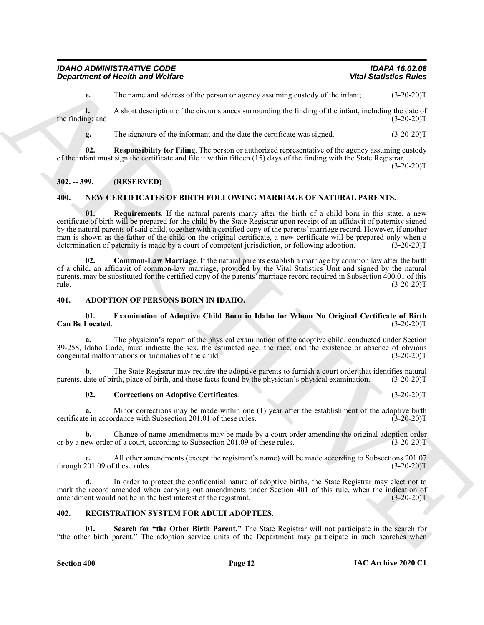| <b>IDAHO ADMINISTRATIVE CODE</b>        | <b>IDAPA 16.02.08</b>         |
|-----------------------------------------|-------------------------------|
| <b>Department of Health and Welfare</b> | <b>Vital Statistics Rules</b> |

**e.** The name and address of the person or agency assuming custody of the infant; (3-20-20)T

**f.** A short description of the circumstances surrounding the finding of the infant, including the date of ng: and (3-20-20) the finding; and

<span id="page-11-10"></span>**g.** The signature of the informant and the date the certificate was signed.  $(3-20-20)T$ 

**02. Responsibility for Filing**. The person or authorized representative of the agency assuming custody of the infant must sign the certificate and file it within fifteen (15) days of the finding with the State Registrar.

 $(3-20-20)$ T

# <span id="page-11-0"></span>**302. -- 399. (RESERVED)**

# <span id="page-11-9"></span><span id="page-11-7"></span><span id="page-11-1"></span>**400. NEW CERTIFICATES OF BIRTH FOLLOWING MARRIAGE OF NATURAL PARENTS.**

**Consideration** of Newton Wolfing<br>
The manner subsection of the construction of the proton to space the proton terms of the construction of the signal consideration of the signal construction of the signal construction of **01. Requirements**. If the natural parents marry after the birth of a child born in this state, a new certificate of birth will be prepared for the child by the State Registrar upon receipt of an affidavit of paternity signed by the natural parents of said child, together with a certified copy of the parents' marriage record. However, if another man is shown as the father of the child on the original certificate, a new certificate will be prepared only when a determination of paternity is made by a court of competent iurisdiction, or following adoption. (3-20-20) determination of paternity is made by a court of competent jurisdiction, or following adoption.

<span id="page-11-8"></span>**02. Common-Law Marriage**. If the natural parents establish a marriage by common law after the birth of a child, an affidavit of common-law marriage, provided by the Vital Statistics Unit and signed by the natural parents, may be substituted for the certified copy of the parents' marriage record required in Subsection 400.01 of this rule. (3-20-20)T

#### <span id="page-11-4"></span><span id="page-11-2"></span>**401. ADOPTION OF PERSONS BORN IN IDAHO.**

#### <span id="page-11-6"></span>**01. Examination of Adoptive Child Born in Idaho for Whom No Original Certificate of Birth Can Be Located**. (3-20-20)T

**a.** The physician's report of the physical examination of the adoptive child, conducted under Section 39-258, Idaho Code, must indicate the sex, the estimated age, the race, and the existence or absence of obvious congenital malformations or anomalies of the child.

**b.** The State Registrar may require the adoptive parents to furnish a court order that identifies natural date of birth, place of birth, and those facts found by the physician's physical examination. (3-20-20) parents, date of birth, place of birth, and those facts found by the physician's physical examination.

#### <span id="page-11-5"></span>**02. Corrections on Adoptive Certificates**. (3-20-20)T

**a.** Minor corrections may be made within one (1) year after the establishment of the adoptive birth certificate in accordance with Subsection 201.01 of these rules. (3-20-20)T

**b.** Change of name amendments may be made by a court order amending the original adoption order or by a new order of a court, according to Subsection 201.09 of these rules. (3-20-20)T

**c.** All other amendments (except the registrant's name) will be made according to Subsections 201.07 through 201.09 of these rules. (3-20-20)T

**d.** In order to protect the confidential nature of adoptive births, the State Registrar may elect not to mark the record amended when carrying out amendments under Section 401 of this rule, when the indication of amendment would not be in the best interest of the registrant. (3-20-20)T

# <span id="page-11-11"></span><span id="page-11-3"></span>**402. REGISTRATION SYSTEM FOR ADULT ADOPTEES.**

<span id="page-11-12"></span>**01. Search for "the Other Birth Parent."** The State Registrar will not participate in the search for "the other birth parent." The adoption service units of the Department may participate in such searches when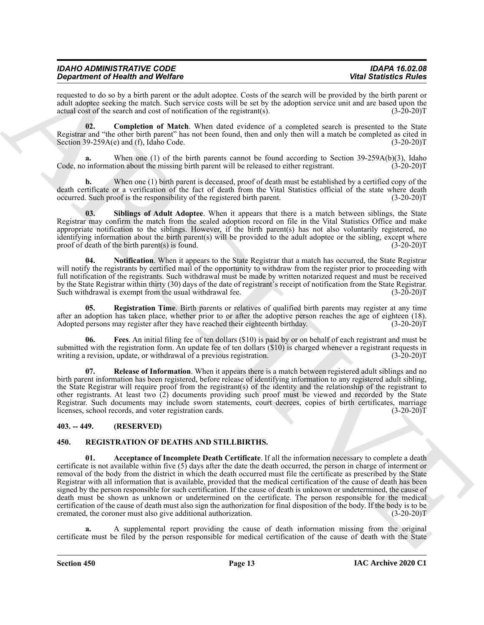| <b>IDAHO ADMINISTRATIVE CODE</b>        | IDAPA 16.02.08                |
|-----------------------------------------|-------------------------------|
| <b>Department of Health and Welfare</b> | <b>Vital Statistics Rules</b> |

requested to do so by a birth parent or the adult adoptee. Costs of the search will be provided by the birth parent or adult adoptee seeking the match. Such service costs will be set by the adoption service unit and are based upon the actual cost of the search and cost of notification of the registrant(s). (3-20-20)T

<span id="page-12-4"></span>**02. Completion of Match**. When dated evidence of a completed search is presented to the State Registrar and "the other birth parent" has not been found, then and only then will a match be completed as cited in Section 39-259A(e) and (f), Idaho Code. (3-20-20) Section  $39-259A(e)$  and (f), Idaho Code.

When one (1) of the birth parents cannot be found according to Section 39-259A(b)(3), Idaho Code, no information about the missing birth parent will be released to either registrant. (3-20-20) Code, no

**b.** When one (1) birth parent is deceased, proof of death must be established by a certified copy of the death certificate or a verification of the fact of death from the Vital Statistics official of the state where death occurred. Such proof is the responsibility of the registered birth parent. (3-20-20)T

<span id="page-12-9"></span>**03. Siblings of Adult Adoptee**. When it appears that there is a match between siblings, the State Registrar may confirm the match from the sealed adoption record on file in the Vital Statistics Office and make appropriate notification to the siblings. However, if the birth parent(s) has not also voluntarily registered, no identifying information about the birth parent(s) will be provided to the adult adoptee or the sibling, except where proof of death of the birth parent(s) is found. (3-20-20)T

<span id="page-12-6"></span>**04. Notification**. When it appears to the State Registrar that a match has occurred, the State Registrar will notify the registrants by certified mail of the opportunity to withdraw from the register prior to proceeding with full notification of the registrants. Such withdrawal must be made by written notarized request and must be received by the State Registrar within thirty (30) days of the date of registrant's receipt of notification from the State Registrar. Such withdrawal is exempt from the usual withdrawal fee.

<span id="page-12-7"></span>**05. Registration Time**. Birth parents or relatives of qualified birth parents may register at any time after an adoption has taken place, whether prior to or after the adoptive person reaches the age of eighteen (18). Adopted persons may register after they have reached their eighteenth birthday. (3-20-20)T

<span id="page-12-5"></span>**06. Fees**. An initial filing fee of ten dollars (\$10) is paid by or on behalf of each registrant and must be submitted with the registration form. An update fee of ten dollars (\$10) is charged whenever a registrant requests in writing a revision, update, or withdrawal of a previous registration. (3-20-20)T

<span id="page-12-8"></span>**07. Release of Information**. When it appears there is a match between registered adult siblings and no birth parent information has been registered, before release of identifying information to any registered adult sibling, the State Registrar will require proof from the registrant(s) of the identity and the relationship of the registrant to other registrants. At least two (2) documents providing such proof must be viewed and recorded by the State Registrar. Such documents may include sworn statements, court decrees, copies of birth certificates, marriage licenses, school records, and voter registration cards. (3-20-20)T

# <span id="page-12-0"></span>**403. -- 449. (RESERVED)**

# <span id="page-12-3"></span><span id="page-12-2"></span><span id="page-12-1"></span>**450. REGISTRATION OF DEATHS AND STILLBIRTHS.**

**Experiment of Health and Velocies**<br>
Securities of the state interaction of the state of the state of the state of the state of the state fields in<br>
any securities of the state of the state of the state of the state of th **01. Acceptance of Incomplete Death Certificate**. If all the information necessary to complete a death certificate is not available within five (5) days after the date the death occurred, the person in charge of interment or removal of the body from the district in which the death occurred must file the certificate as prescribed by the State Registrar with all information that is available, provided that the medical certification of the cause of death has been signed by the person responsible for such certification. If the cause of death is unknown or undetermined, the cause of death must be shown as unknown or undetermined on the certificate. The person responsible for the medical certification of the cause of death must also sign the authorization for final disposition of the body. If the body is to be cremated, the coroner must also give additional authorization. (3-20-20)T

**a.** A supplemental report providing the cause of death information missing from the original certificate must be filed by the person responsible for medical certification of the cause of death with the State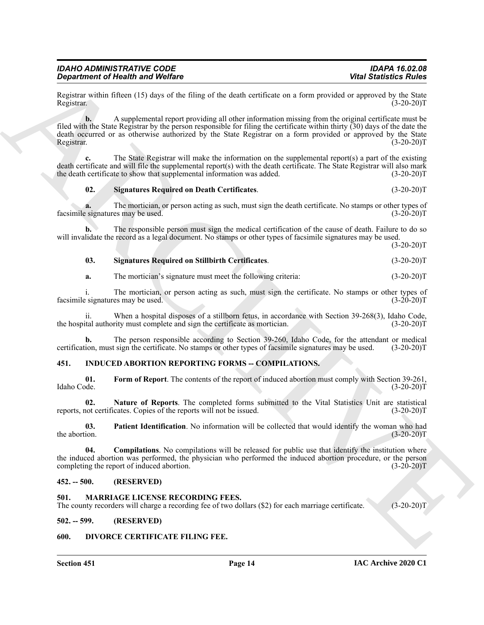| <b>IDAHO ADMINISTRATIVE CODE</b>        |
|-----------------------------------------|
| <b>Department of Health and Welfare</b> |

Registrar within fifteen (15) days of the filing of the death certificate on a form provided or approved by the State Registrar. (3-20-20)T Registrar. (3-20-20)T

**Statistics of Newthern Statistics Photos Controllers and the specific Rotatistics Photos Controllers and the specific Rotatistics Photos Controllers and the specific Rotatistics Photos Controllers and the specific contro b.** A supplemental report providing all other information missing from the original certificate must be filed with the State Registrar by the person responsible for filing the certificate within thirty  $(30)$  days of the date the death occurred or as otherwise authorized by the State Registrar on a form provided or approved by the State Registrar. (3-20-20)T Registrar. (3-20-20)T

**c.** The State Registrar will make the information on the supplemental report(s) a part of the existing death certificate and will file the supplemental report(s) with the death certificate. The State Registrar will also mark<br>the death certificate to show that supplemental information was added. (3-20-20) the death certificate to show that supplemental information was added.

#### <span id="page-13-12"></span>**02. Signatures Required on Death Certificates**. (3-20-20)T

The mortician, or person acting as such, must sign the death certificate. No stamps or other types of es may be used.  $(3-20-20)T$ facsimile signatures may be used.

**b.** The responsible person must sign the medical certification of the cause of death. Failure to do so will invalidate the record as a legal document. No stamps or other types of facsimile signatures may be used.

 $(3-20-20)T$ 

# <span id="page-13-13"></span>**03. Signatures Required on Stillbirth Certificates**. (3-20-20)T

**a.** The mortician's signature must meet the following criteria:  $(3-20-20)T$ 

i. The mortician, or person acting as such, must sign the certificate. No stamps or other types of esignatures may be used. (3-20-20) facsimile signatures may be used.

ii. When a hospital disposes of a stillborn fetus, in accordance with Section 39-268(3), Idaho Code, the hospital authority must complete and sign the certificate as mortician. (3-20-20)T

**b.** The person responsible according to Section 39-260, Idaho Code, for the attendant or medical certification, must sign the certificate. No stamps or other types of facsimile signatures may be used. (3-20-20)T

#### <span id="page-13-6"></span><span id="page-13-0"></span>**451. INDUCED ABORTION REPORTING FORMS -- COMPILATIONS.**

<span id="page-13-8"></span>**01. Form of Report**. The contents of the report of induced abortion must comply with Section 39-261, Idaho Code. (3-20-20)T

<span id="page-13-9"></span>**02.** Nature of Reports. The completed forms submitted to the Vital Statistics Unit are statistical not certificates. Copies of the reports will not be issued. (3-20-20) reports, not certificates. Copies of the reports will not be issued.

<span id="page-13-10"></span>**03.** Patient Identification. No information will be collected that would identify the woman who had the abortion. (3-20-20)T the abortion. (3-20-20)T

<span id="page-13-7"></span>**04.** Compilations. No compilations will be released for public use that identify the institution where the induced abortion was performed, the physician who performed the induced abortion procedure, or the person completing the report of induced abortion. (3-20-20)T

# <span id="page-13-1"></span>**452. -- 500. (RESERVED)**

#### <span id="page-13-11"></span><span id="page-13-2"></span>**501. MARRIAGE LICENSE RECORDING FEES.**

The county recorders will charge a recording fee of two dollars (\$2) for each marriage certificate. (3-20-20)T

<span id="page-13-3"></span>**502. -- 599. (RESERVED)**

#### <span id="page-13-5"></span><span id="page-13-4"></span>**600. DIVORCE CERTIFICATE FILING FEE.**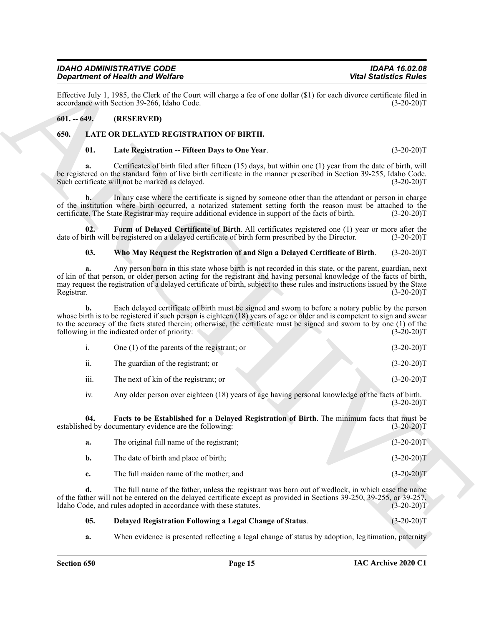### <span id="page-14-0"></span>**601. -- 649. (RESERVED)**

# <span id="page-14-1"></span>**650. LATE OR DELAYED REGISTRATION OF BIRTH.**

# <span id="page-14-6"></span><span id="page-14-2"></span>**01. Late Registration -- Fifteen Days to One Year**. (3-20-20)T

#### <span id="page-14-7"></span><span id="page-14-5"></span>**03. Who May Request the Registration of and Sign a Delayed Certificate of Birth**. (3-20-20)T

|                  | <b>Department of Health and Welfare</b>                                                                                                                                                                                                                                                                                                                                                                    | <b>Vital Statistics Rules</b>                                                                       |
|------------------|------------------------------------------------------------------------------------------------------------------------------------------------------------------------------------------------------------------------------------------------------------------------------------------------------------------------------------------------------------------------------------------------------------|-----------------------------------------------------------------------------------------------------|
|                  | Effective July 1, 1985, the Clerk of the Court will charge a fee of one dollar (\$1) for each divorce certificate filed in<br>accordance with Section 39-266, Idaho Code.                                                                                                                                                                                                                                  | $(3-20-20)T$                                                                                        |
| $601 - 649.$     | (RESERVED)                                                                                                                                                                                                                                                                                                                                                                                                 |                                                                                                     |
| 650.             | LATE OR DELAYED REGISTRATION OF BIRTH.                                                                                                                                                                                                                                                                                                                                                                     |                                                                                                     |
| 01.              | Late Registration -- Fifteen Days to One Year.                                                                                                                                                                                                                                                                                                                                                             | $(3-20-20)T$                                                                                        |
| a.               | Certificates of birth filed after fifteen (15) days, but within one (1) year from the date of birth, will<br>be registered on the standard form of live birth certificate in the manner prescribed in Section 39-255, Idaho Code.<br>Such certificate will not be marked as delayed.                                                                                                                       | $(3-20-20)T$                                                                                        |
| $\mathbf{b}$ .   | In any case where the certificate is signed by someone other than the attendant or person in charge<br>of the institution where birth occurred, a notarized statement setting forth the reason must be attached to the<br>certificate. The State Registrar may require additional evidence in support of the facts of birth.                                                                               | $(3-20-20)T$                                                                                        |
| 02.              | Form of Delayed Certificate of Birth. All certificates registered one (1) year or more after the<br>date of birth will be registered on a delayed certificate of birth form prescribed by the Director.                                                                                                                                                                                                    | $(3-20-20)T$                                                                                        |
| 03.              | Who May Request the Registration of and Sign a Delayed Certificate of Birth.                                                                                                                                                                                                                                                                                                                               | $(3-20-20)T$                                                                                        |
| a.<br>Registrar. | Any person born in this state whose birth is not recorded in this state, or the parent, guardian, next<br>of kin of that person, or older person acting for the registrant and having personal knowledge of the facts of birth,<br>may request the registration of a delayed certificate of birth, subject to these rules and instructions issued by the State                                             | $(3-20-20)T$                                                                                        |
| b.               | Each delayed certificate of birth must be signed and sworn to before a notary public by the person<br>whose birth is to be registered if such person is eighteen $(18)$ years of age or older and is competent to sign and swear<br>to the accuracy of the facts stated therein; otherwise, the certificate must be signed and sworn to by one (1) of the<br>following in the indicated order of priority: | $(3-20-20)T$                                                                                        |
| i.               | One $(1)$ of the parents of the registrant; or                                                                                                                                                                                                                                                                                                                                                             | $(3-20-20)T$                                                                                        |
| ii.              | The guardian of the registrant; or                                                                                                                                                                                                                                                                                                                                                                         | $(3-20-20)T$                                                                                        |
| iii.             | The next of kin of the registrant; or                                                                                                                                                                                                                                                                                                                                                                      | $(3-20-20)T$                                                                                        |
| iv.              | Any older person over eighteen (18) years of age having personal knowledge of the facts of birth.                                                                                                                                                                                                                                                                                                          | $(3-20-20)T$                                                                                        |
| 04.              | Facts to be Established for a Delayed Registration of Birth. The minimum facts that must be<br>established by documentary evidence are the following:                                                                                                                                                                                                                                                      | $(3-20-20)T$                                                                                        |
| a.               | The original full name of the registrant;                                                                                                                                                                                                                                                                                                                                                                  | $(3-20-20)T$                                                                                        |
| b.               | The date of birth and place of birth;                                                                                                                                                                                                                                                                                                                                                                      | $(3-20-20)T$                                                                                        |
| c.               | The full maiden name of the mother; and                                                                                                                                                                                                                                                                                                                                                                    | $(3-20-20)T$                                                                                        |
| d.               | The full name of the father, unless the registrant was born out of wedlock, in which case the name<br>of the father will not be entered on the delayed certificate except as provided in Sections 39-250, 39-255, or 39-257,<br>Idaho Code, and rules adopted in accordance with these statutes.                                                                                                           | $(3-20-20)T$                                                                                        |
| 05.              | Delayed Registration Following a Legal Change of Status.                                                                                                                                                                                                                                                                                                                                                   | $(3-20-20)T$                                                                                        |
|                  |                                                                                                                                                                                                                                                                                                                                                                                                            | When evidence is presented reflecting a legal change of status by adoption, legitimation, paternity |

<span id="page-14-4"></span><span id="page-14-3"></span>

| а. | The original full name of the registrant; | $(3-20-20)T$ |
|----|-------------------------------------------|--------------|
| b. | The date of birth and place of birth;     | $(3-20-20)T$ |
|    | The full maiden name of the mother; and   | $(3-20-20)T$ |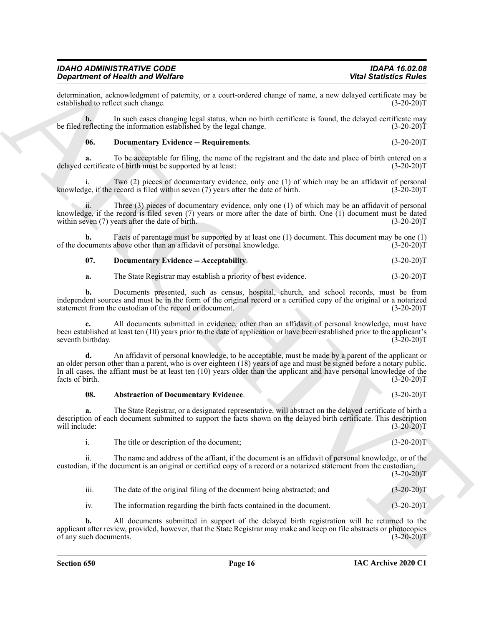determination, acknowledgment of paternity, or a court-ordered change of name, a new delayed certificate may be established to reflect such change.

**b.** In such cases changing legal status, when no birth certificate is found, the delayed certificate may be filed reflecting the information established by the legal change. (3-20-20)T

## <span id="page-15-2"></span>**06. Documentary Evidence -- Requirements**. (3-20-20)T

**a.** To be acceptable for filing, the name of the registrant and the date and place of birth entered on a delayed certificate of birth must be supported by at least: (3-20-20)T

Two (2) pieces of documentary evidence, only one (1) of which may be an affidavit of personal record is filed within seven (7) years after the date of birth.  $(3-20-20)$ knowledge, if the record is filed within seven  $(7)$  years after the date of birth.

ii. Three (3) pieces of documentary evidence, only one (1) of which may be an affidavit of personal knowledge, if the record is filed seven (7) years or more after the date of birth. One (1) document must be dated within seven (7) years after the date of birth.  $(3-20-20)$ within seven  $(7)$  years after the date of birth.

**b.** Facts of parentage must be supported by at least one (1) document. This document may be one (1) cuments above other than an affidavit of personal knowledge. (3-20-20) of the documents above other than an affidavit of personal knowledge.

<span id="page-15-1"></span>**07. Documentary Evidence -- Acceptability**. (3-20-20)T

**a.** The State Registrar may establish a priority of best evidence. (3-20-20)T

**b.** Documents presented, such as census, hospital, church, and school records, must be from independent sources and must be in the form of the original record or a certified copy of the original or a notarized statement from the custodian of the record or document. (3-20-20) statement from the custodian of the record or document.

**c.** All documents submitted in evidence, other than an affidavit of personal knowledge, must have been established at least ten (10) years prior to the date of application or have been established prior to the applicant's seventh birthday.

**Construction of Neumento Poissing** Constructions of the second state of the second state of the second state of the second state of the second state of the second state of the second state of the second state of the seco **d.** An affidavit of personal knowledge, to be acceptable, must be made by a parent of the applicant or an older person other than a parent, who is over eighteen (18) years of age and must be signed before a notary public. In all cases, the affiant must be at least ten (10) years older than the applicant and have personal knowledge of the facts of birth.  $(3-20-20)$ facts of birth. (3-20-20)T

#### <span id="page-15-0"></span>**08. Abstraction of Documentary Evidence**. (3-20-20)T

**a.** The State Registrar, or a designated representative, will abstract on the delayed certificate of birth a description of each document submitted to support the facts shown on the delayed birth certificate. This description will include: (3-20-20)T

i. The title or description of the document; (3-20-20)T

ii. The name and address of the affiant, if the document is an affidavit of personal knowledge, or of the custodian, if the document is an original or certified copy of a record or a notarized statement from the custodian;  $(3-20-20)T$ 

iii. The date of the original filing of the document being abstracted; and (3-20-20)T

iv. The information regarding the birth facts contained in the document. (3-20-20)T

**b.** All documents submitted in support of the delayed birth registration will be returned to the applicant after review, provided, however, that the State Registrar may make and keep on file abstracts or photocopies of any such documents. (3-20-20)T

**IAC Archive 2020 C1**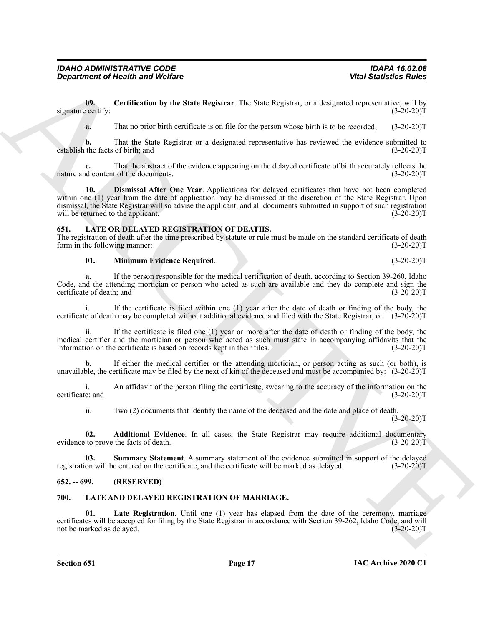**09. Certification by the State Registrar**. The State Registrar, or a designated representative, will by signature certify: (3-20-20)T (3-20-20)T

<span id="page-16-5"></span>**a.** That no prior birth certificate is on file for the person whose birth is to be recorded;  $(3-20-20)T$ 

**b.** That the State Registrar or a designated representative has reviewed the evidence submitted to the facts of birth; and (3-20-20) establish the facts of birth; and

<span id="page-16-6"></span>That the abstract of the evidence appearing on the delayed certificate of birth accurately reflects the t of the documents. (3-20-20)<sup>T</sup> nature and content of the documents.

**Consideration of Newthern by WestExt Replace and Statistics Policies<br>**  $\omega_{\text{B}}$  **(a),**  $\omega_{\text{B}}$  **(a),**  $\omega_{\text{B}}$  **(a),**  $\omega_{\text{B}}$  **(a),**  $\omega_{\text{B}}$  **(a)**  $\omega_{\text{B}}$  **(b)**  $\omega_{\text{B}}$  **(a)**  $\omega_{\text{B}}$  **(a)**  $\omega_{\text{B}}$  **(b)**  $\omega_{\text{B}}$  **10. Dismissal After One Year**. Applications for delayed certificates that have not been completed within one (1) year from the date of application may be dismissed at the discretion of the State Registrar. Upon dismissal, the State Registrar will so advise the applicant, and all documents submitted in support of such registration will be returned to the applicant. (3-20-20) T

#### <span id="page-16-7"></span><span id="page-16-0"></span>**651. LATE OR DELAYED REGISTRATION OF DEATHS.**

The registration of death after the time prescribed by statute or rule must be made on the standard certificate of death form in the following manner: (3-20-20)T

# <span id="page-16-9"></span>**01. Minimum Evidence Required**. (3-20-20)T

**a.** If the person responsible for the medical certification of death, according to Section 39-260, Idaho Code, and the attending mortician or person who acted as such are available and they do complete and sign the certificate of death; and (3-20-20) certificate of death; and

i. If the certificate is filed within one (1) year after the date of death or finding of the body, the certificate of death may be completed without additional evidence and filed with the State Registrar; or (3-20-20)T

If the certificate is filed one  $(1)$  year or more after the date of death or finding of the body, the medical certifier and the mortician or person who acted as such must state in accompanying affidavits that the information on the certificate is based on records kept in their files. (3-20-20)T

**b.** If either the medical certifier or the attending mortician, or person acting as such (or both), is unavailable, the certificate may be filed by the next of kin of the deceased and must be accompanied by: (3-20-20)T

i. An affidavit of the person filing the certificate, swearing to the accuracy of the information on the certificate; and (3-20-20)T

<span id="page-16-10"></span><span id="page-16-8"></span>ii. Two (2) documents that identify the name of the deceased and the date and place of death.  $(3-20-20)T$ 

**02. Additional Evidence**. In all cases, the State Registrar may require additional documentary evidence to prove the facts of death. (3-20-20)T

**03. Summary Statement**. A summary statement of the evidence submitted in support of the delayed registration will be entered on the certificate, and the certificate will be marked as delayed. (3-20-20)T

#### <span id="page-16-1"></span>**652. -- 699. (RESERVED)**

# <span id="page-16-3"></span><span id="page-16-2"></span>**700. LATE AND DELAYED REGISTRATION OF MARRIAGE.**

<span id="page-16-4"></span>**01.** Late Registration. Until one (1) year has elapsed from the date of the ceremony, marriage certificates will be accepted for filing by the State Registrar in accordance with Section 39-262, Idaho Code, and will not be marked as delayed.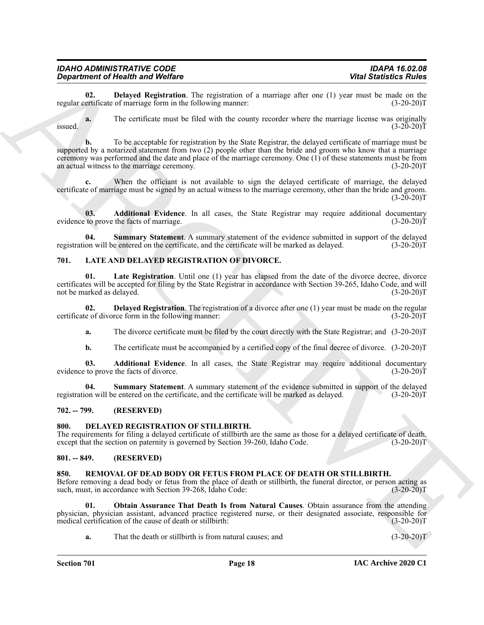<span id="page-17-12"></span>**02. Delayed Registration**. The registration of a marriage after one (1) year must be made on the ertificate of marriage form in the following manner: (3-20-20) regular certificate of marriage form in the following manner:

**a.** The certificate must be filed with the county recorder where the marriage license was originally  $(3-20-20)T$ issued.  $(3-20-20)T$ 

**Equivalent of Heisenhann WebBless Chain and WebBless Chain and WebBless Chain and WebBless Chain and WebBless Chain and WebBless Chain and Chain and Chain and Chain and Chain and Chain and Chain and Chain and Chain and C b.** To be acceptable for registration by the State Registrar, the delayed certificate of marriage must be supported by a notarized statement from two (2) people other than the bride and groom who know that a marriage ceremony was performed and the date and place of the marriage ceremony. One (1) of these statements must be from an actual witness to the marriage ceremony. (3-20-20) T

When the officiant is not available to sign the delayed certificate of marriage, the delayed certificate of marriage must be signed by an actual witness to the marriage ceremony, other than the bride and groom.  $(3-20-20)T$ 

<span id="page-17-11"></span>**03. Additional Evidence**. In all cases, the State Registrar may require additional documentary to prove the facts of marriage. (3-20-20) evidence to prove the facts of marriage.

<span id="page-17-13"></span>**04.** Summary Statement. A summary statement of the evidence submitted in support of the delayed on will be entered on the certificate, and the certificate will be marked as delayed. (3-20-20)T registration will be entered on the certificate, and the certificate will be marked as delayed.

# <span id="page-17-6"></span><span id="page-17-0"></span>**701. LATE AND DELAYED REGISTRATION OF DIVORCE.**

<span id="page-17-9"></span>**01.** Late Registration. Until one (1) year has elapsed from the date of the divorce decree, divorce certificates will be accepted for filing by the State Registrar in accordance with Section 39-265, Idaho Code, and will not be marked as delayed.

**02. Delayed Registration**. The registration of a divorce after one (1) year must be made on the regular e of divorce form in the following manner: (3-20-20) certificate of divorce form in the following manner:

<span id="page-17-8"></span>**a.** The divorce certificate must be filed by the court directly with the State Registrar; and (3-20-20)T

<span id="page-17-10"></span><span id="page-17-7"></span>**b.** The certificate must be accompanied by a certified copy of the final decree of divorce.  $(3-20-20)$ T

**03. Additional Evidence**. In all cases, the State Registrar may require additional documentary evidence to prove the facts of divorce. (3-20-20)T

**04. Summary Statement**. A summary statement of the evidence submitted in support of the delayed registration will be entered on the certificate, and the certificate will be marked as delayed. (3-20-20)T

# <span id="page-17-1"></span>**702. -- 799. (RESERVED)**

#### <span id="page-17-5"></span><span id="page-17-2"></span>**800. DELAYED REGISTRATION OF STILLBIRTH.**

The requirements for filing a delayed certificate of stillbirth are the same as those for a delayed certificate of death, except that the section on paternity is governed by Section 39-260, Idaho Code. (3-20-20)T except that the section on paternity is governed by Section 39-260, Idaho Code.

#### <span id="page-17-3"></span>**801. -- 849. (RESERVED)**

#### <span id="page-17-14"></span><span id="page-17-4"></span>**850. REMOVAL OF DEAD BODY OR FETUS FROM PLACE OF DEATH OR STILLBIRTH.**

Before removing a dead body or fetus from the place of death or stillbirth, the funeral director, or person acting as such, must, in accordance with Section 39-268, Idaho Code: (3-20-20)T

**01. Obtain Assurance That Death Is from Natural Causes**. Obtain assurance from the attending physician, physician assistant, advanced practice registered nurse, or their designated associate, responsible for medical certification of the cause of death or stillbirth:

<span id="page-17-15"></span>**a.** That the death or stillbirth is from natural causes; and  $(3-20-20)$ T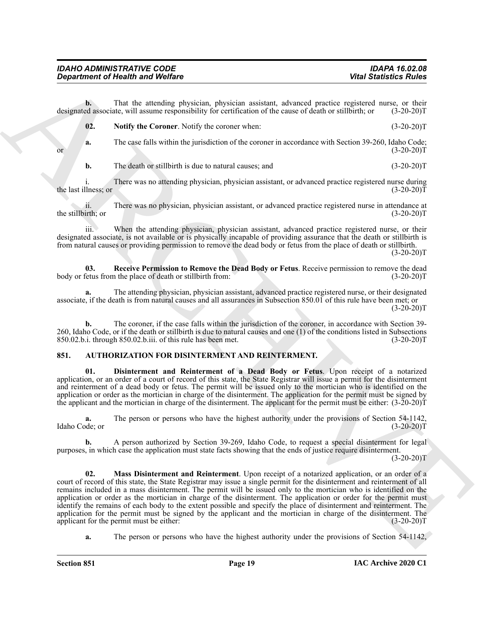**b.** That the attending physician, physician assistant, advanced practice registered nurse, or their designated associate, will assume responsibility for certification of the cause of death or stillbirth; or (3-20-20)T

<span id="page-18-4"></span>

| <b>Notify the Coroner.</b> Notify the coroner when: | $(3-20-20)T$ |
|-----------------------------------------------------|--------------|
|                                                     |              |

**a.** The case falls within the jurisdiction of the coroner in accordance with Section 39-260, Idaho Code;<br>(3-20-20) or  $(3-20-20)$ T

**b.** The death or stillbirth is due to natural causes; and (3-20-20)T

i. There was no attending physician, physician assistant, or advanced practice registered nurse during llness; or (3-20-20) the last illness; or

ii. There was no physician, physician assistant, or advanced practice registered nurse in attendance at the stillbirth; or

iii. When the attending physician, physician assistant, advanced practice registered nurse, or their designated associate, is not available or is physically incapable of providing assurance that the death or stillbirth is from natural causes or providing permission to remove the dead body or fetus from the place of death or stillbirth.

 $(3-20-20)T$ 

<span id="page-18-5"></span>**03. Receive Permission to Remove the Dead Body or Fetus**. Receive permission to remove the dead body or fetus from the place of death or stillbirth from: (3-20-20)T

**a.** The attending physician, physician assistant, advanced practice registered nurse, or their designated associate, if the death is from natural causes and all assurances in Subsection 850.01 of this rule have been met; or  $(3-20-20)T$ 

**b.** The coroner, if the case falls within the jurisdiction of the coroner, in accordance with Section 39-260, Idaho Code, or if the death or stillbirth is due to natural causes and one (1) of the conditions listed in Subsections 850.02.b.i. through 850.02.b.ii. of this rule has been met. (3-20-20) 850.02.b.i. through 850.02.b.iii. of this rule has been met.

# <span id="page-18-1"></span><span id="page-18-0"></span>**851. AUTHORIZATION FOR DISINTERMENT AND REINTERMENT.**

<span id="page-18-2"></span>**01. Disinterment and Reinterment of a Dead Body or Fetus**. Upon receipt of a notarized application, or an order of a court of record of this state, the State Registrar will issue a permit for the disinterment and reinterment of a dead body or fetus. The permit will be issued only to the mortician who is identified on the application or order as the mortician in charge of the disinterment. The application for the permit must be signed by the applicant and the mortician in charge of the disinterment. The applicant for the permit must be either:  $(3-20-20)$ T

**a.** The person or persons who have the highest authority under the provisions of Section 54-1142. Idaho Code; or (3-20-20)T

<span id="page-18-3"></span>**b.** A person authorized by Section 39-269, Idaho Code, to request a special disinterment for legal purposes, in which case the application must state facts showing that the ends of justice require disinterment.

 $(3-20-20)T$ 

**Consideration of Newton Wolfing**<br>
The Use Statistics Politics<br>
The Use Statistics Politics<br>
The Use Statistics Politics<br>
Archives the consistency physicial measure and determined the consistency (2012) 2012<br>
The Use Cons **02. Mass Disinterment and Reinterment**. Upon receipt of a notarized application, or an order of a court of record of this state, the State Registrar may issue a single permit for the disinterment and reinterment of all remains included in a mass disinterment. The permit will be issued only to the mortician who is identified on the application or order as the mortician in charge of the disinterment. The application or order for the permit must identify the remains of each body to the extent possible and specify the place of disinterment and reinterment. The application for the permit must be signed by the applicant and the mortician in charge of the disinterment. The applicant for the permit must be either: (3-20-20) applicant for the permit must be either:

**a.** The person or persons who have the highest authority under the provisions of Section 54-1142,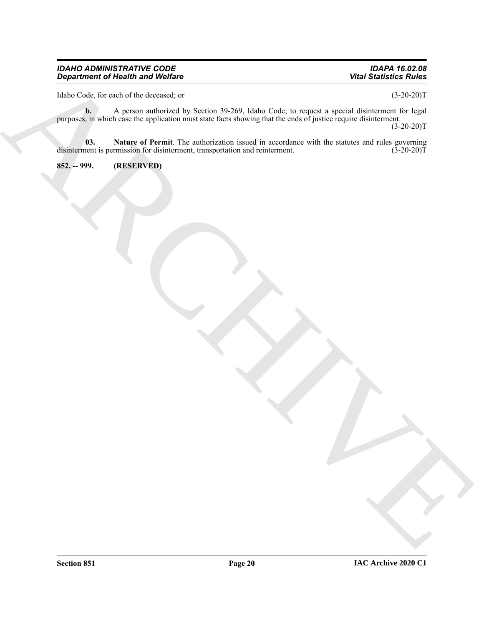Idaho Code, for each of the deceased; or (3-20-20)T

ARCHIVE **b.** A person authorized by Section 39-269, Idaho Code, to request a special disinterment for legal purposes, in which case the application must state facts showing that the ends of justice require disinterment.  $(3-20-20)T$ 

<span id="page-19-1"></span>**03. Nature of Permit**. The authorization issued in accordance with the statutes and rules governing disinterment is permission for disinterment, transportation and reinterment. (3-20-20) T

<span id="page-19-0"></span>**852. -- 999. (RESERVED)**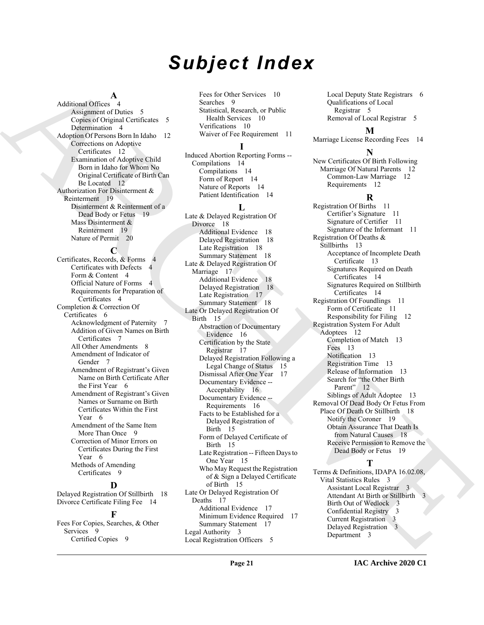# *Subject Index*

#### **A**

Additional Offices 4 Assignment of Duties 5 Copies of Original Certificates 5 Determination 4 Adoption Of Persons Born In Idaho 12 Corrections on Adoptive Certificates 12 Examination of Adoptive Child Born in Idaho for Whom No Original Certificate of Birth Can Be Located 12 Authorization For Disinterment & Reinterment 19 Disinterment & Reinterment of a Dead Body or Fetus 19 Mass Disinterment & Reinterment 19 Nature of Permit 20

#### **C**

Certificates, Records, & Forms 4 Certificates with Defects 4 Form & Content 4 Official Nature of Forms 4 Requirements for Preparation of Certificates 4 Completion & Correction Of Certificates 6 Acknowledgment of Paternity 7 Addition of Given Names on Birth Certificates 7 All Other Amendments 8 Amendment of Indicator of Gender 7 Amendment of Registrant's Given Name on Birth Certificate After the First Year 6 Amendment of Registrant's Given Names or Surname on Birth Certificates Within the First Year 6 Amendment of the Same Item More Than Once 9 Correction of Minor Errors on Certificates During the First Year 6 Methods of Amending Certificates 9

#### **D**

Delayed Registration Of Stillbirth 18 Divorce Certificate Filing Fee 14

# **F**

Fees For Copies, Searches, & Other Services 9 Certified Copies 9

Fees for Other Services 10 Searches 9 Statistical, Research, or Public Health Services 10 Verifications 10 Waiver of Fee Requirement 11

# **I**

Induced Abortion Reporting Forms -- Compilations 14 Compilations 14 Form of Report 14 Nature of Reports 14 Patient Identification 14

#### **L**

[AR](#page-11-6)[C](#page-17-6)[H](#page-14-2)[IV](#page-11-12)[E](#page-18-5) Late & Delayed Registration Of Divorce 18 Additional Evidence 18 Delayed Registration 18 Late Registration 18 Summary Statement 18 Late & Delayed Registration Of Marriage 17 Additional Evidence 18 Delayed Registration 18 Late Registration 17 Summary Statement 18 Late Or Delayed Registration Of Birth 15 Abstraction of Documentary Evidence 16 Certification by the State Registrar 17 Delayed Registration Following a Legal Change of Status 15 Dismissal After One Year 17 Documentary Evidence -- Acceptability 16 Documentary Evidence -- Requirements 16 Facts to be Established for a Delayed Registration of Birth 15 Form of Delayed Certificate of Birth 15 Late Registration -- Fifteen Days to One Year 15 Who May Request the Registration of & Sign a Delayed Certificate of Birth 15 Late Or Delayed Registration Of Deaths 17 Additional Evidence 17 Minimum Evidence Required 17 Summary Statement 17 Legal Authority 3 Local Registration Officers 5

Local Deputy State Registrars 6 Qualifications of Local Registrar 5 Removal of Local Registrar 5

# **M**

Marriage License Recording Fees 14

**N** New Certificates Of Birth Following Marriage Of Natural Parents 12 Common-Law Marriage 12 Requirements 12

#### **R**

Registration Of Births 11 Certifier's Signature 11 Signature of Certifier 11 Signature of the Informant 11 Registration Of Deaths & Stillbirths 13 Acceptance of Incomplete Death Certificate 13 Signatures Required on Death Certificates 14 Signatures Required on Stillbirth Certificates 14 Registration Of Foundlings 11 Form of Certificate 11 Responsibility for Filing 12 Registration System For Adult Adoptees 12 Completion of Match 13 Fees 13 Notification 13 Registration Time 13 Release of Information 13 Search for "the Other Birth<br>Parent" 12 Parent" Siblings of Adult Adoptee 13 Removal Of Dead Body Or Fetus From Place Of Death Or Stillbirth 18 Notify the Coroner 19 Obtain Assurance That Death Is from Natural Causes 18 Receive Permission to Remove the Dead Body or Fetus 19

# **T**

Terms & Definitions, IDAPA 16.02.08, Vital Statistics Rules 3 Assistant Local Registrar 3 Attendant At Birth or Stillbirth Birth Out of Wedlock 3 Confidential Registry 3 Current Registration 3 Delayed Registration 3 Department 3